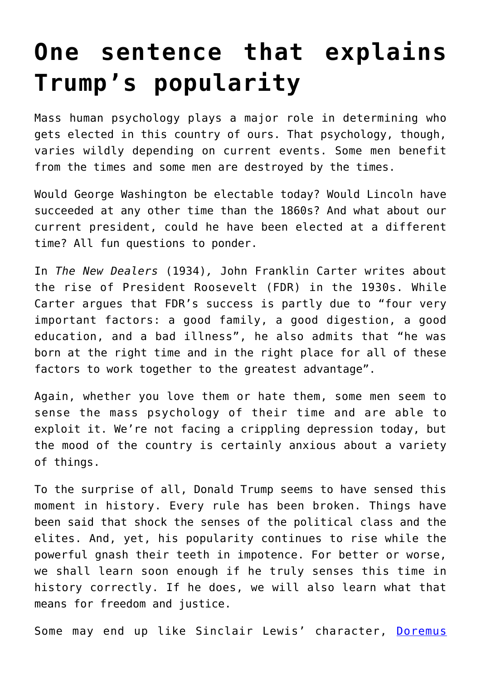## **[One sentence that explains](https://intellectualtakeout.org/2015/12/one-sentence-that-explains-trumps-popularity/) [Trump's popularity](https://intellectualtakeout.org/2015/12/one-sentence-that-explains-trumps-popularity/)**

Mass human psychology plays a major role in determining who gets elected in this country of ours. That psychology, though, varies wildly depending on current events. Some men benefit from the times and some men are destroyed by the times.

Would George Washington be electable today? Would Lincoln have succeeded at any other time than the 1860s? And what about our current president, could he have been elected at a different time? All fun questions to ponder.

In *The New Dealers* (1934)*,* John Franklin Carter writes about the rise of President Roosevelt (FDR) in the 1930s. While Carter argues that FDR's success is partly due to "four very important factors: a good family, a good digestion, a good education, and a bad illness", he also admits that "he was born at the right time and in the right place for all of these factors to work together to the greatest advantage".

Again, whether you love them or hate them, some men seem to sense the mass psychology of their time and are able to exploit it. We're not facing a crippling depression today, but the mood of the country is certainly anxious about a variety of things.

To the surprise of all, Donald Trump seems to have sensed this moment in history. Every rule has been broken. Things have been said that shock the senses of the political class and the elites. And, yet, his popularity continues to rise while the powerful gnash their teeth in impotence. For better or worse, we shall learn soon enough if he truly senses this time in history correctly. If he does, we will also learn what that means for freedom and justice.

Some may end up like Sinclair Lewis' character, [Doremus](http://www.amazon.com/Cant-Happen-Here-Signet-Classics/dp/0451465644)